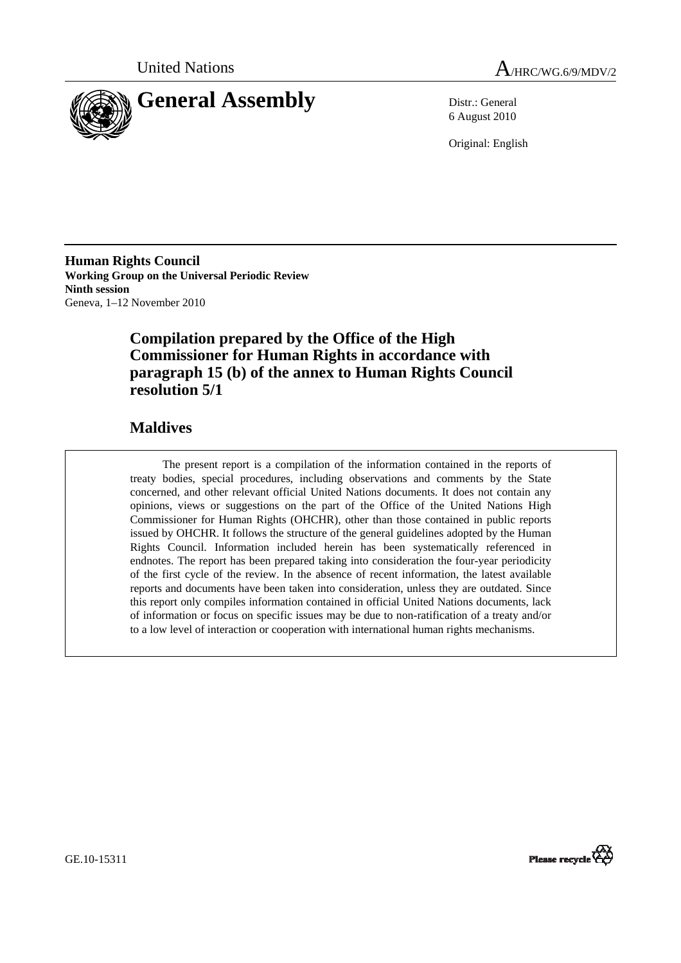



6 August 2010

Original: English

**Human Rights Council Working Group on the Universal Periodic Review Ninth session**  Geneva, 1–12 November 2010

# **Compilation prepared by the Office of the High Commissioner for Human Rights in accordance with paragraph 15 (b) of the annex to Human Rights Council resolution 5/1**

# **Maldives**

The present report is a compilation of the information contained in the reports of treaty bodies, special procedures, including observations and comments by the State concerned, and other relevant official United Nations documents. It does not contain any opinions, views or suggestions on the part of the Office of the United Nations High Commissioner for Human Rights (OHCHR), other than those contained in public reports issued by OHCHR. It follows the structure of the general guidelines adopted by the Human Rights Council. Information included herein has been systematically referenced in endnotes. The report has been prepared taking into consideration the four-year periodicity of the first cycle of the review. In the absence of recent information, the latest available reports and documents have been taken into consideration, unless they are outdated. Since this report only compiles information contained in official United Nations documents, lack of information or focus on specific issues may be due to non-ratification of a treaty and/or to a low level of interaction or cooperation with international human rights mechanisms.



GE.10-15311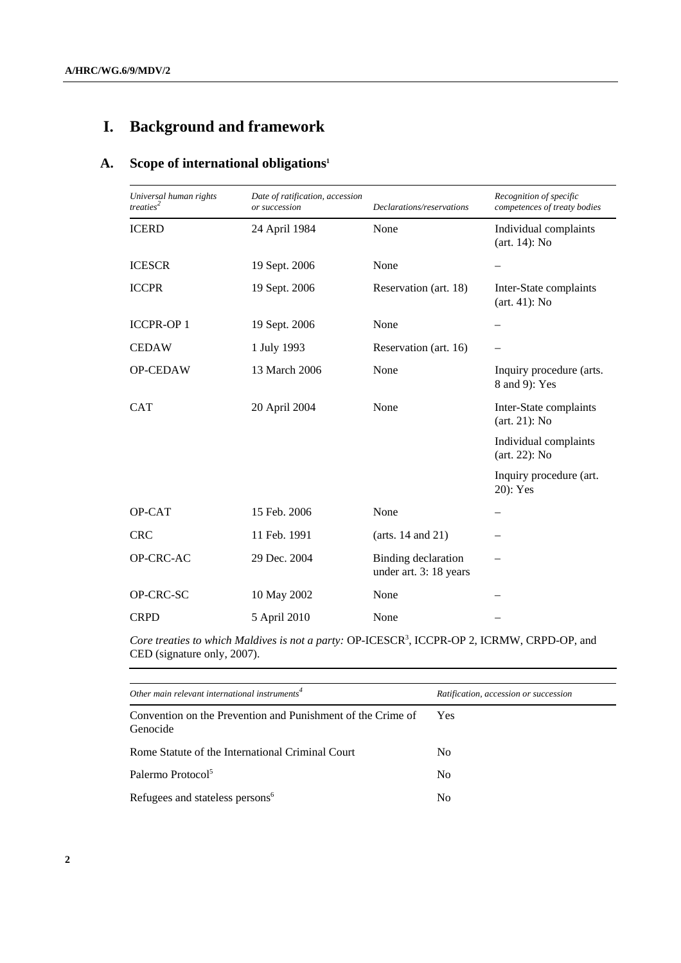# **I. Background and framework**

# **A. Scope of international obligations1**

| Universal human rights<br>treaties <sup>2</sup> | Date of ratification, accession<br>or succession | Declarations/reservations                     | Recognition of specific<br>competences of treaty bodies |
|-------------------------------------------------|--------------------------------------------------|-----------------------------------------------|---------------------------------------------------------|
| <b>ICERD</b>                                    | 24 April 1984                                    | None                                          | Individual complaints<br>$(art. 14)$ : No               |
| <b>ICESCR</b>                                   | 19 Sept. 2006                                    | None                                          | —                                                       |
| <b>ICCPR</b>                                    | 19 Sept. 2006                                    | Reservation (art. 18)                         | Inter-State complaints<br>$(art. 41)$ : No              |
| <b>ICCPR-OP1</b>                                | 19 Sept. 2006                                    | None                                          |                                                         |
| <b>CEDAW</b>                                    | 1 July 1993                                      | Reservation (art. 16)                         |                                                         |
| OP-CEDAW                                        | 13 March 2006                                    | None                                          | Inquiry procedure (arts.<br>8 and 9): Yes               |
| <b>CAT</b>                                      | 20 April 2004                                    | None                                          | Inter-State complaints<br>$(art. 21)$ : No              |
|                                                 |                                                  |                                               | Individual complaints<br>$(art. 22)$ : No               |
|                                                 |                                                  |                                               | Inquiry procedure (art.<br>20): Yes                     |
| OP-CAT                                          | 15 Feb. 2006                                     | None                                          |                                                         |
| <b>CRC</b>                                      | 11 Feb. 1991                                     | (arts. $14$ and $21$ )                        |                                                         |
| OP-CRC-AC                                       | 29 Dec. 2004                                     | Binding declaration<br>under art. 3: 18 years |                                                         |
| OP-CRC-SC                                       | 10 May 2002                                      | None                                          |                                                         |
| <b>CRPD</b>                                     | 5 April 2010                                     | None                                          |                                                         |

Core treaties to which Maldives is not a party: OP-ICESCR<sup>3</sup>, ICCPR-OP 2, ICRMW, CRPD-OP, and CED (signature only, 2007).

| Other main relevant international instruments <sup>4</sup>              | Ratification, accession or succession |
|-------------------------------------------------------------------------|---------------------------------------|
| Convention on the Prevention and Punishment of the Crime of<br>Genocide | Yes                                   |
| Rome Statute of the International Criminal Court                        | N <sub>0</sub>                        |
| Palermo Protocol <sup>5</sup>                                           | N <sub>0</sub>                        |
| Refugees and stateless persons <sup>6</sup>                             | No                                    |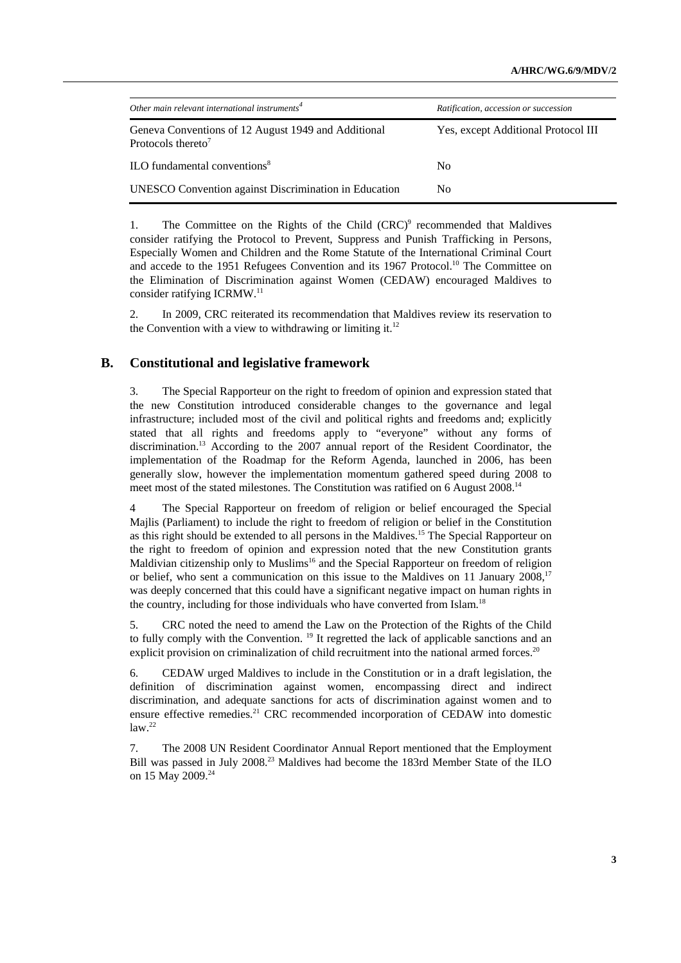| Other main relevant international instruments <sup>4</sup>                            | Ratification, accession or succession |
|---------------------------------------------------------------------------------------|---------------------------------------|
| Geneva Conventions of 12 August 1949 and Additional<br>Protocols thereto <sup>7</sup> | Yes, except Additional Protocol III   |
| ILO fundamental conventions <sup>8</sup>                                              | N <sub>0</sub>                        |
| <b>UNESCO</b> Convention against Discrimination in Education                          | No.                                   |

1. The Committee on the Rights of the Child  $(CRC)^9$  recommended that Maldives consider ratifying the Protocol to Prevent, Suppress and Punish Trafficking in Persons, Especially Women and Children and the Rome Statute of the International Criminal Court and accede to the 1951 Refugees Convention and its 1967 Protocol.10 The Committee on the Elimination of Discrimination against Women (CEDAW) encouraged Maldives to consider ratifying ICRMW.11

2. In 2009, CRC reiterated its recommendation that Maldives review its reservation to the Convention with a view to withdrawing or limiting it.<sup>12</sup>

## **B. Constitutional and legislative framework**

3. The Special Rapporteur on the right to freedom of opinion and expression stated that the new Constitution introduced considerable changes to the governance and legal infrastructure; included most of the civil and political rights and freedoms and; explicitly stated that all rights and freedoms apply to "everyone" without any forms of discrimination.13 According to the 2007 annual report of the Resident Coordinator, the implementation of the Roadmap for the Reform Agenda, launched in 2006, has been generally slow, however the implementation momentum gathered speed during 2008 to meet most of the stated milestones. The Constitution was ratified on 6 August 2008.14

4 The Special Rapporteur on freedom of religion or belief encouraged the Special Majlis (Parliament) to include the right to freedom of religion or belief in the Constitution as this right should be extended to all persons in the Maldives.15 The Special Rapporteur on the right to freedom of opinion and expression noted that the new Constitution grants Maldivian citizenship only to Muslims<sup>16</sup> and the Special Rapporteur on freedom of religion or belief, who sent a communication on this issue to the Maldives on 11 January  $2008$ ,<sup>17</sup> was deeply concerned that this could have a significant negative impact on human rights in the country, including for those individuals who have converted from Islam.<sup>18</sup>

5. CRC noted the need to amend the Law on the Protection of the Rights of the Child to fully comply with the Convention. <sup>19</sup> It regretted the lack of applicable sanctions and an explicit provision on criminalization of child recruitment into the national armed forces.<sup>20</sup>

6. CEDAW urged Maldives to include in the Constitution or in a draft legislation, the definition of discrimination against women, encompassing direct and indirect discrimination, and adequate sanctions for acts of discrimination against women and to ensure effective remedies.<sup>21</sup> CRC recommended incorporation of CEDAW into domestic  $law.<sup>22</sup>$ 

7. The 2008 UN Resident Coordinator Annual Report mentioned that the Employment Bill was passed in July 2008.<sup>23</sup> Maldives had become the 183rd Member State of the ILO on 15 May 2009.<sup>24</sup>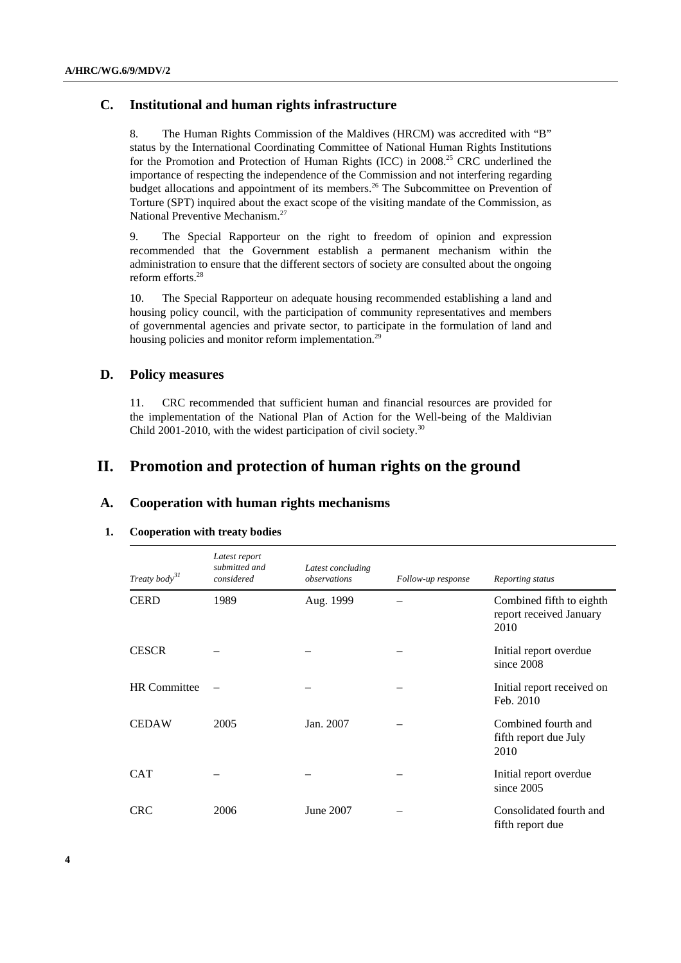# **C. Institutional and human rights infrastructure**

8. The Human Rights Commission of the Maldives (HRCM) was accredited with "B" status by the International Coordinating Committee of National Human Rights Institutions for the Promotion and Protection of Human Rights (ICC) in 2008.<sup>25</sup> CRC underlined the importance of respecting the independence of the Commission and not interfering regarding budget allocations and appointment of its members.<sup>26</sup> The Subcommittee on Prevention of Torture (SPT) inquired about the exact scope of the visiting mandate of the Commission, as National Preventive Mechanism.<sup>27</sup>

9. The Special Rapporteur on the right to freedom of opinion and expression recommended that the Government establish a permanent mechanism within the administration to ensure that the different sectors of society are consulted about the ongoing reform efforts.28

10. The Special Rapporteur on adequate housing recommended establishing a land and housing policy council, with the participation of community representatives and members of governmental agencies and private sector, to participate in the formulation of land and housing policies and monitor reform implementation.<sup>29</sup>

## **D. Policy measures**

11. CRC recommended that sufficient human and financial resources are provided for the implementation of the National Plan of Action for the Well-being of the Maldivian Child 2001-2010, with the widest participation of civil society.<sup>30</sup>

# **II. Promotion and protection of human rights on the ground**

## **A. Cooperation with human rights mechanisms**

### **1. Cooperation with treaty bodies**

| Treaty body <sup>31</sup> | Latest report<br>submitted and<br>considered | Latest concluding<br>observations | Follow-up response | Reporting status                                            |
|---------------------------|----------------------------------------------|-----------------------------------|--------------------|-------------------------------------------------------------|
| <b>CERD</b>               | 1989                                         | Aug. 1999                         |                    | Combined fifth to eighth<br>report received January<br>2010 |
| <b>CESCR</b>              |                                              |                                   |                    | Initial report overdue<br>since 2008                        |
| <b>HR</b> Committee       |                                              |                                   |                    | Initial report received on<br>Feb. 2010                     |
| <b>CEDAW</b>              | 2005                                         | Jan. 2007                         |                    | Combined fourth and<br>fifth report due July<br>2010        |
| <b>CAT</b>                |                                              |                                   |                    | Initial report overdue<br>since 2005                        |
| <b>CRC</b>                | 2006                                         | June 2007                         |                    | Consolidated fourth and<br>fifth report due                 |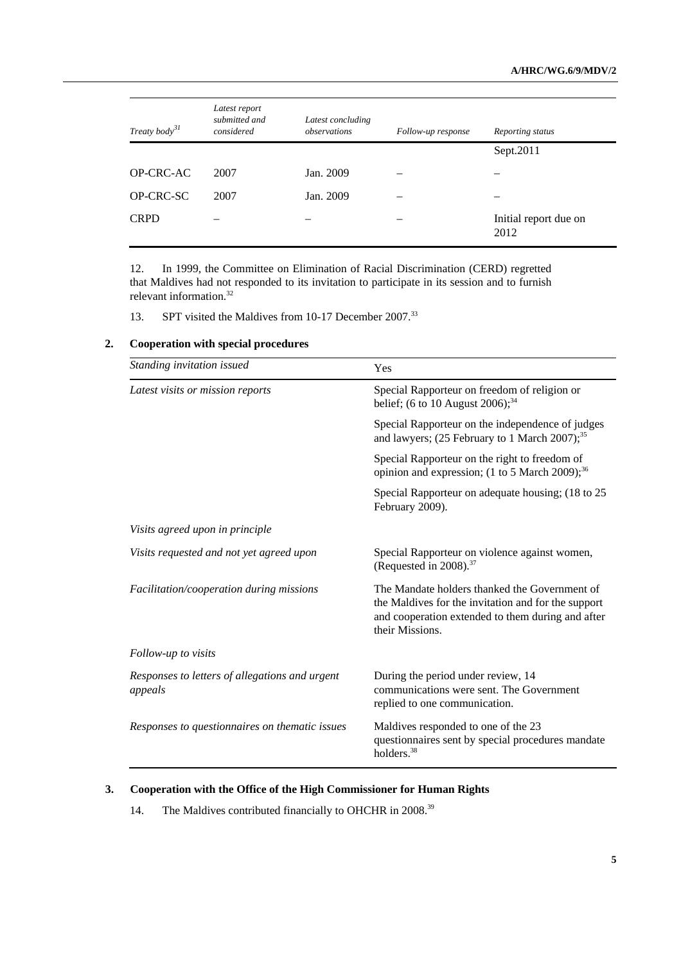| Treaty body $3^I$ | Latest report<br>submitted and<br>considered | Latest concluding<br>observations | Follow-up response | Reporting status              |
|-------------------|----------------------------------------------|-----------------------------------|--------------------|-------------------------------|
|                   |                                              |                                   |                    | Sept.2011                     |
| OP-CRC-AC         | 2007                                         | Jan. 2009                         |                    |                               |
| OP-CRC-SC         | 2007                                         | Jan. 2009                         |                    | -                             |
| <b>CRPD</b>       |                                              |                                   |                    | Initial report due on<br>2012 |

12. In 1999, the Committee on Elimination of Racial Discrimination (CERD) regretted that Maldives had not responded to its invitation to participate in its session and to furnish relevant information.<sup>32</sup>

13. SPT visited the Maldives from 10-17 December 2007.<sup>33</sup>

| Standing invitation issued                                | Yes                                                                                                                                                                          |  |
|-----------------------------------------------------------|------------------------------------------------------------------------------------------------------------------------------------------------------------------------------|--|
| Latest visits or mission reports                          | Special Rapporteur on freedom of religion or<br>belief; (6 to 10 August 2006); $34$                                                                                          |  |
|                                                           | Special Rapporteur on the independence of judges<br>and lawyers; (25 February to 1 March 2007); <sup>35</sup>                                                                |  |
|                                                           | Special Rapporteur on the right to freedom of<br>opinion and expression; (1 to 5 March 2009); <sup>36</sup>                                                                  |  |
|                                                           | Special Rapporteur on adequate housing; (18 to 25)<br>February 2009).                                                                                                        |  |
| Visits agreed upon in principle                           |                                                                                                                                                                              |  |
| Visits requested and not yet agreed upon                  | Special Rapporteur on violence against women,<br>(Requested in 2008). <sup>37</sup>                                                                                          |  |
| Facilitation/cooperation during missions                  | The Mandate holders thanked the Government of<br>the Maldives for the invitation and for the support<br>and cooperation extended to them during and after<br>their Missions. |  |
| Follow-up to visits                                       |                                                                                                                                                                              |  |
| Responses to letters of allegations and urgent<br>appeals | During the period under review, 14<br>communications were sent. The Government<br>replied to one communication.                                                              |  |
| Responses to questionnaires on thematic issues            | Maldives responded to one of the 23<br>questionnaires sent by special procedures mandate<br>holders. <sup>38</sup>                                                           |  |

### **2. Cooperation with special procedures**

# **3. Cooperation with the Office of the High Commissioner for Human Rights**

14. The Maldives contributed financially to OHCHR in 2008.<sup>39</sup>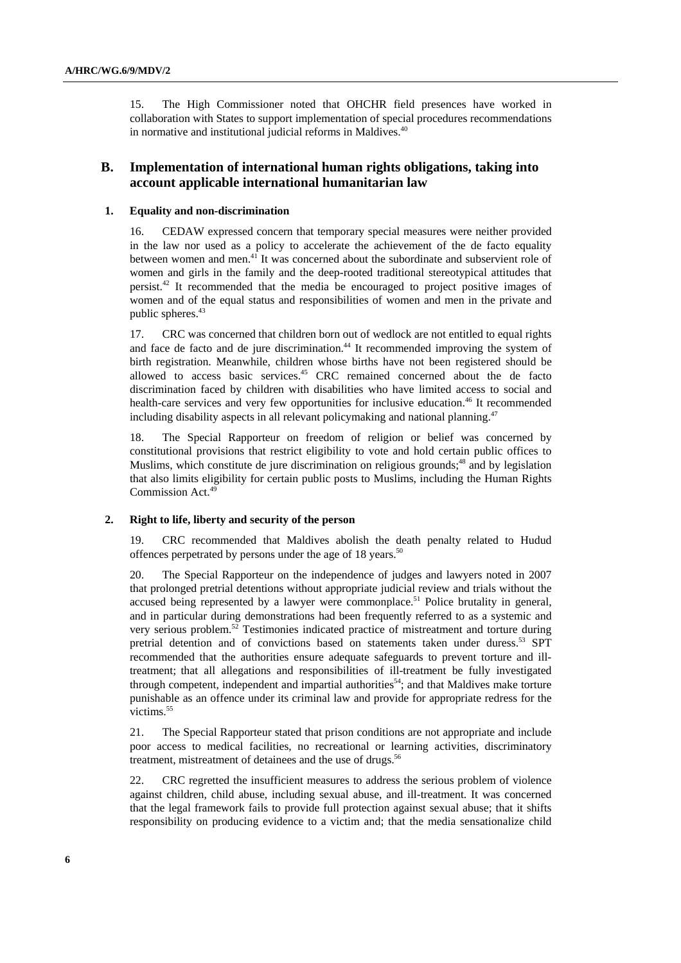15. The High Commissioner noted that OHCHR field presences have worked in collaboration with States to support implementation of special procedures recommendations in normative and institutional judicial reforms in Maldives.<sup>40</sup>

# **B. Implementation of international human rights obligations, taking into account applicable international humanitarian law**

#### **1. Equality and non-discrimination**

16. CEDAW expressed concern that temporary special measures were neither provided in the law nor used as a policy to accelerate the achievement of the de facto equality between women and men.41 It was concerned about the subordinate and subservient role of women and girls in the family and the deep-rooted traditional stereotypical attitudes that persist.42 It recommended that the media be encouraged to project positive images of women and of the equal status and responsibilities of women and men in the private and public spheres.<sup>43</sup>

17. CRC was concerned that children born out of wedlock are not entitled to equal rights and face de facto and de jure discrimination.<sup>44</sup> It recommended improving the system of birth registration. Meanwhile, children whose births have not been registered should be allowed to access basic services.45 CRC remained concerned about the de facto discrimination faced by children with disabilities who have limited access to social and health-care services and very few opportunities for inclusive education.<sup>46</sup> It recommended including disability aspects in all relevant policymaking and national planning.<sup>47</sup>

18. The Special Rapporteur on freedom of religion or belief was concerned by constitutional provisions that restrict eligibility to vote and hold certain public offices to Muslims, which constitute de jure discrimination on religious grounds; $48$  and by legislation that also limits eligibility for certain public posts to Muslims, including the Human Rights Commission Act.49

#### **2. Right to life, liberty and security of the person**

19. CRC recommended that Maldives abolish the death penalty related to Hudud offences perpetrated by persons under the age of 18 years.<sup>50</sup>

20. The Special Rapporteur on the independence of judges and lawyers noted in 2007 that prolonged pretrial detentions without appropriate judicial review and trials without the accused being represented by a lawyer were commonplace.<sup>51</sup> Police brutality in general, and in particular during demonstrations had been frequently referred to as a systemic and very serious problem.52 Testimonies indicated practice of mistreatment and torture during pretrial detention and of convictions based on statements taken under duress.<sup>53</sup> SPT recommended that the authorities ensure adequate safeguards to prevent torture and illtreatment; that all allegations and responsibilities of ill-treatment be fully investigated through competent, independent and impartial authorities<sup>54</sup>; and that Maldives make torture punishable as an offence under its criminal law and provide for appropriate redress for the victims.<sup>55</sup>

21. The Special Rapporteur stated that prison conditions are not appropriate and include poor access to medical facilities, no recreational or learning activities, discriminatory treatment, mistreatment of detainees and the use of drugs.<sup>56</sup>

22. CRC regretted the insufficient measures to address the serious problem of violence against children, child abuse, including sexual abuse, and ill-treatment. It was concerned that the legal framework fails to provide full protection against sexual abuse; that it shifts responsibility on producing evidence to a victim and; that the media sensationalize child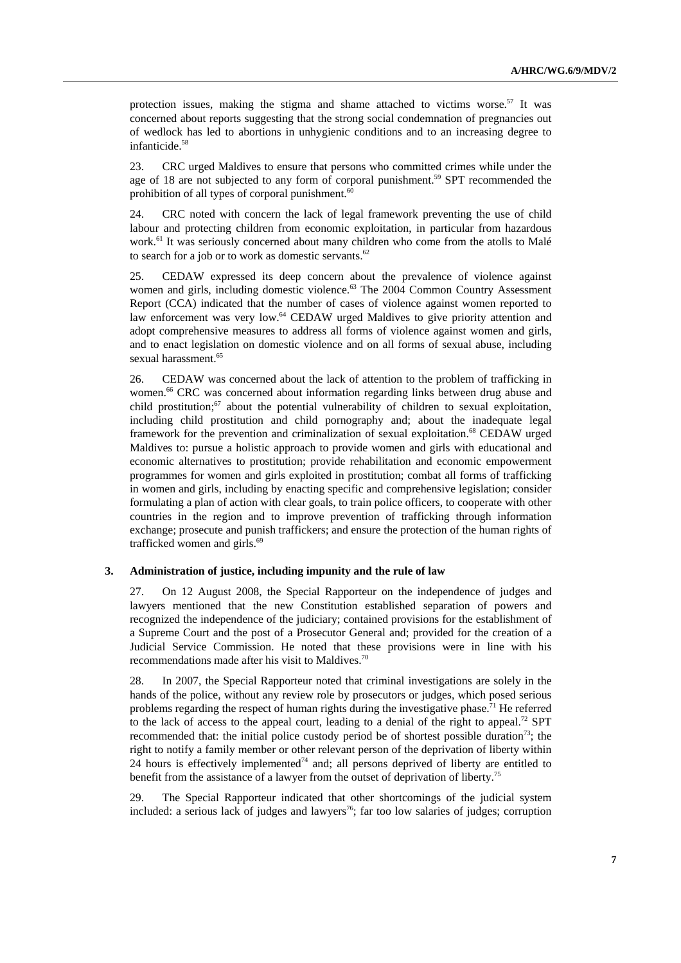protection issues, making the stigma and shame attached to victims worse. $57$  It was concerned about reports suggesting that the strong social condemnation of pregnancies out of wedlock has led to abortions in unhygienic conditions and to an increasing degree to infanticide.<sup>58</sup>

23. CRC urged Maldives to ensure that persons who committed crimes while under the age of 18 are not subjected to any form of corporal punishment.<sup>59</sup> SPT recommended the prohibition of all types of corporal punishment. $60$ 

24. CRC noted with concern the lack of legal framework preventing the use of child labour and protecting children from economic exploitation, in particular from hazardous work.<sup>61</sup> It was seriously concerned about many children who come from the atolls to Malé to search for a job or to work as domestic servants. $62$ 

25. CEDAW expressed its deep concern about the prevalence of violence against women and girls, including domestic violence.<sup>63</sup> The 2004 Common Country Assessment Report (CCA) indicated that the number of cases of violence against women reported to law enforcement was very low.<sup>64</sup> CEDAW urged Maldives to give priority attention and adopt comprehensive measures to address all forms of violence against women and girls, and to enact legislation on domestic violence and on all forms of sexual abuse, including sexual harassment.<sup>65</sup>

26. CEDAW was concerned about the lack of attention to the problem of trafficking in women.<sup>66</sup> CRC was concerned about information regarding links between drug abuse and child prostitution;<sup>67</sup> about the potential vulnerability of children to sexual exploitation, including child prostitution and child pornography and; about the inadequate legal framework for the prevention and criminalization of sexual exploitation.68 CEDAW urged Maldives to: pursue a holistic approach to provide women and girls with educational and economic alternatives to prostitution; provide rehabilitation and economic empowerment programmes for women and girls exploited in prostitution; combat all forms of trafficking in women and girls, including by enacting specific and comprehensive legislation; consider formulating a plan of action with clear goals, to train police officers, to cooperate with other countries in the region and to improve prevention of trafficking through information exchange; prosecute and punish traffickers; and ensure the protection of the human rights of trafficked women and girls.<sup>69</sup>

#### **3. Administration of justice, including impunity and the rule of law**

27. On 12 August 2008, the Special Rapporteur on the independence of judges and lawyers mentioned that the new Constitution established separation of powers and recognized the independence of the judiciary; contained provisions for the establishment of a Supreme Court and the post of a Prosecutor General and; provided for the creation of a Judicial Service Commission. He noted that these provisions were in line with his recommendations made after his visit to Maldives.70

28. In 2007, the Special Rapporteur noted that criminal investigations are solely in the hands of the police, without any review role by prosecutors or judges, which posed serious problems regarding the respect of human rights during the investigative phase.<sup>71</sup> He referred to the lack of access to the appeal court, leading to a denial of the right to appeal.<sup>72</sup> SPT recommended that: the initial police custody period be of shortest possible duration<sup>73</sup>; the right to notify a family member or other relevant person of the deprivation of liberty within 24 hours is effectively implemented<sup>74</sup> and; all persons deprived of liberty are entitled to benefit from the assistance of a lawyer from the outset of deprivation of liberty.<sup>7</sup>

29. The Special Rapporteur indicated that other shortcomings of the judicial system included: a serious lack of judges and lawyers<sup>76</sup>; far too low salaries of judges; corruption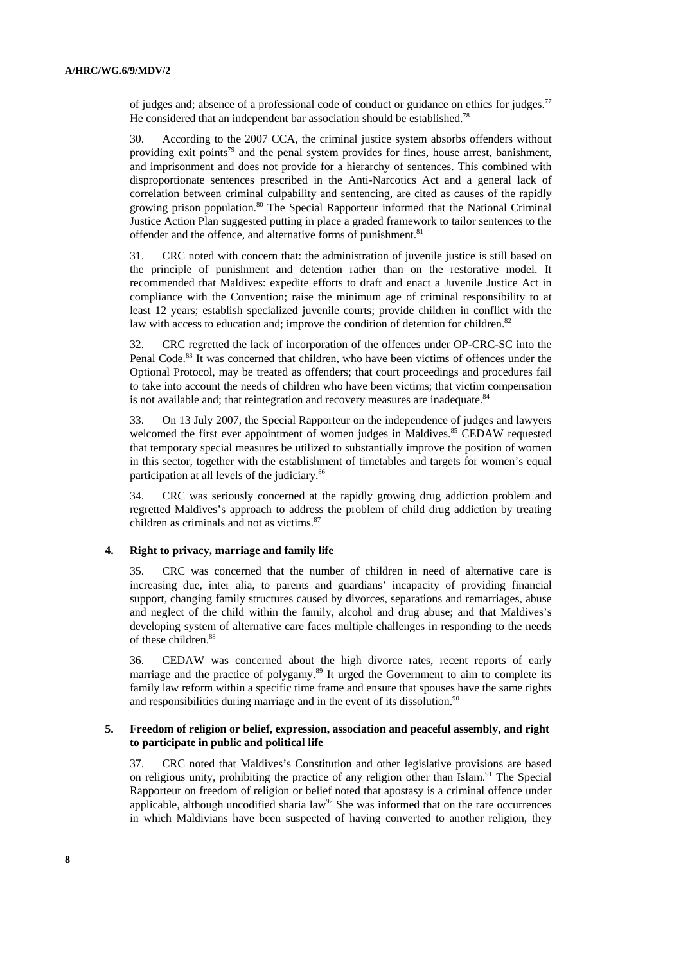of judges and; absence of a professional code of conduct or guidance on ethics for judges.77 He considered that an independent bar association should be established.<sup>78</sup>

30. According to the 2007 CCA, the criminal justice system absorbs offenders without providing exit points<sup>79</sup> and the penal system provides for fines, house arrest, banishment, and imprisonment and does not provide for a hierarchy of sentences. This combined with disproportionate sentences prescribed in the Anti-Narcotics Act and a general lack of correlation between criminal culpability and sentencing, are cited as causes of the rapidly growing prison population.<sup>80</sup> The Special Rapporteur informed that the National Criminal Justice Action Plan suggested putting in place a graded framework to tailor sentences to the offender and the offence, and alternative forms of punishment.<sup>81</sup>

31. CRC noted with concern that: the administration of juvenile justice is still based on the principle of punishment and detention rather than on the restorative model. It recommended that Maldives: expedite efforts to draft and enact a Juvenile Justice Act in compliance with the Convention; raise the minimum age of criminal responsibility to at least 12 years; establish specialized juvenile courts; provide children in conflict with the law with access to education and; improve the condition of detention for children.<sup>82</sup>

32. CRC regretted the lack of incorporation of the offences under OP-CRC-SC into the Penal Code.<sup>83</sup> It was concerned that children, who have been victims of offences under the Optional Protocol, may be treated as offenders; that court proceedings and procedures fail to take into account the needs of children who have been victims; that victim compensation is not available and; that reintegration and recovery measures are inadequate.<sup>84</sup>

33. On 13 July 2007, the Special Rapporteur on the independence of judges and lawyers welcomed the first ever appointment of women judges in Maldives.<sup>85</sup> CEDAW requested that temporary special measures be utilized to substantially improve the position of women in this sector, together with the establishment of timetables and targets for women's equal participation at all levels of the judiciary.86

34. CRC was seriously concerned at the rapidly growing drug addiction problem and regretted Maldives's approach to address the problem of child drug addiction by treating children as criminals and not as victims.<sup>87</sup>

### **4. Right to privacy, marriage and family life**

35. CRC was concerned that the number of children in need of alternative care is increasing due, inter alia, to parents and guardians' incapacity of providing financial support, changing family structures caused by divorces, separations and remarriages, abuse and neglect of the child within the family, alcohol and drug abuse; and that Maldives's developing system of alternative care faces multiple challenges in responding to the needs of these children.<sup>88</sup>

36. CEDAW was concerned about the high divorce rates, recent reports of early marriage and the practice of polygamy.<sup>89</sup> It urged the Government to aim to complete its family law reform within a specific time frame and ensure that spouses have the same rights and responsibilities during marriage and in the event of its dissolution.<sup>90</sup>

#### **5. Freedom of religion or belief, expression, association and peaceful assembly, and right to participate in public and political life**

37. CRC noted that Maldives's Constitution and other legislative provisions are based on religious unity, prohibiting the practice of any religion other than Islam.<sup>91</sup> The Special Rapporteur on freedom of religion or belief noted that apostasy is a criminal offence under applicable, although uncodified sharia  $law<sup>92</sup>$  She was informed that on the rare occurrences in which Maldivians have been suspected of having converted to another religion, they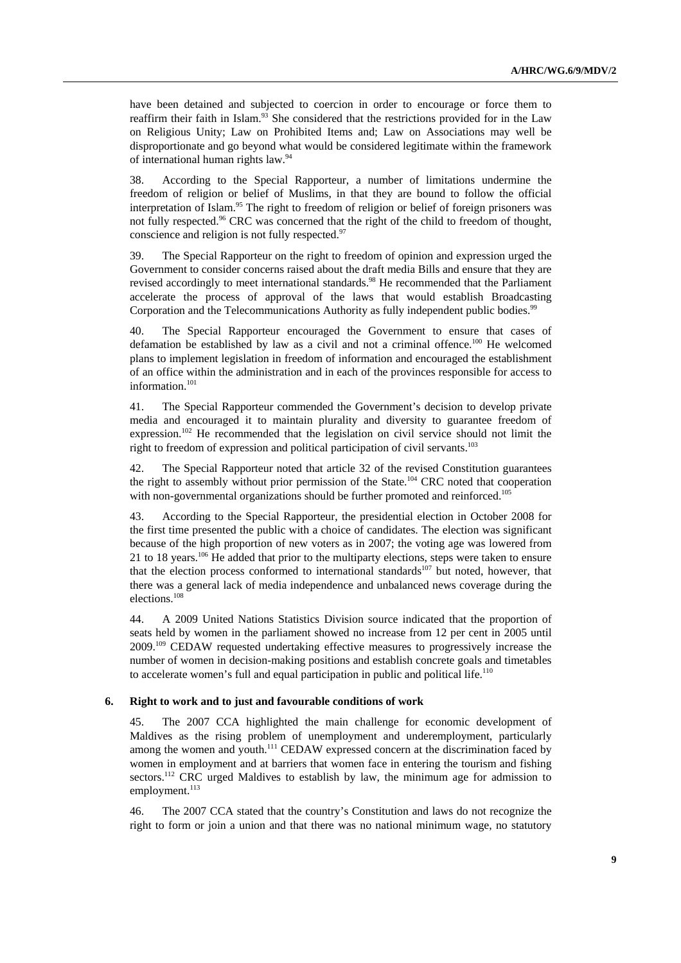have been detained and subjected to coercion in order to encourage or force them to reaffirm their faith in Islam.<sup>93</sup> She considered that the restrictions provided for in the Law on Religious Unity; Law on Prohibited Items and; Law on Associations may well be disproportionate and go beyond what would be considered legitimate within the framework of international human rights law.94

38. According to the Special Rapporteur, a number of limitations undermine the freedom of religion or belief of Muslims, in that they are bound to follow the official interpretation of Islam.95 The right to freedom of religion or belief of foreign prisoners was not fully respected.<sup>96</sup> CRC was concerned that the right of the child to freedom of thought, conscience and religion is not fully respected.<sup>97</sup>

39. The Special Rapporteur on the right to freedom of opinion and expression urged the Government to consider concerns raised about the draft media Bills and ensure that they are revised accordingly to meet international standards.<sup>98</sup> He recommended that the Parliament accelerate the process of approval of the laws that would establish Broadcasting Corporation and the Telecommunications Authority as fully independent public bodies.<sup>99</sup>

40. The Special Rapporteur encouraged the Government to ensure that cases of defamation be established by law as a civil and not a criminal offence.<sup>100</sup> He welcomed plans to implement legislation in freedom of information and encouraged the establishment of an office within the administration and in each of the provinces responsible for access to information.<sup>101</sup>

41. The Special Rapporteur commended the Government's decision to develop private media and encouraged it to maintain plurality and diversity to guarantee freedom of expression.<sup>102</sup> He recommended that the legislation on civil service should not limit the right to freedom of expression and political participation of civil servants.<sup>103</sup>

42. The Special Rapporteur noted that article 32 of the revised Constitution guarantees the right to assembly without prior permission of the State.<sup>104</sup> CRC noted that cooperation with non-governmental organizations should be further promoted and reinforced.<sup>105</sup>

43. According to the Special Rapporteur, the presidential election in October 2008 for the first time presented the public with a choice of candidates. The election was significant because of the high proportion of new voters as in 2007; the voting age was lowered from 21 to 18 years.<sup>106</sup> He added that prior to the multiparty elections, steps were taken to ensure that the election process conformed to international standards<sup>107</sup> but noted, however, that there was a general lack of media independence and unbalanced news coverage during the elections.<sup>108</sup>

44. A 2009 United Nations Statistics Division source indicated that the proportion of seats held by women in the parliament showed no increase from 12 per cent in 2005 until 2009.109 CEDAW requested undertaking effective measures to progressively increase the number of women in decision-making positions and establish concrete goals and timetables to accelerate women's full and equal participation in public and political life.<sup>110</sup>

#### **6. Right to work and to just and favourable conditions of work**

45. The 2007 CCA highlighted the main challenge for economic development of Maldives as the rising problem of unemployment and underemployment, particularly among the women and youth.<sup>111</sup> CEDAW expressed concern at the discrimination faced by women in employment and at barriers that women face in entering the tourism and fishing sectors.<sup>112</sup> CRC urged Maldives to establish by law, the minimum age for admission to employment.<sup>113</sup>

46. The 2007 CCA stated that the country's Constitution and laws do not recognize the right to form or join a union and that there was no national minimum wage, no statutory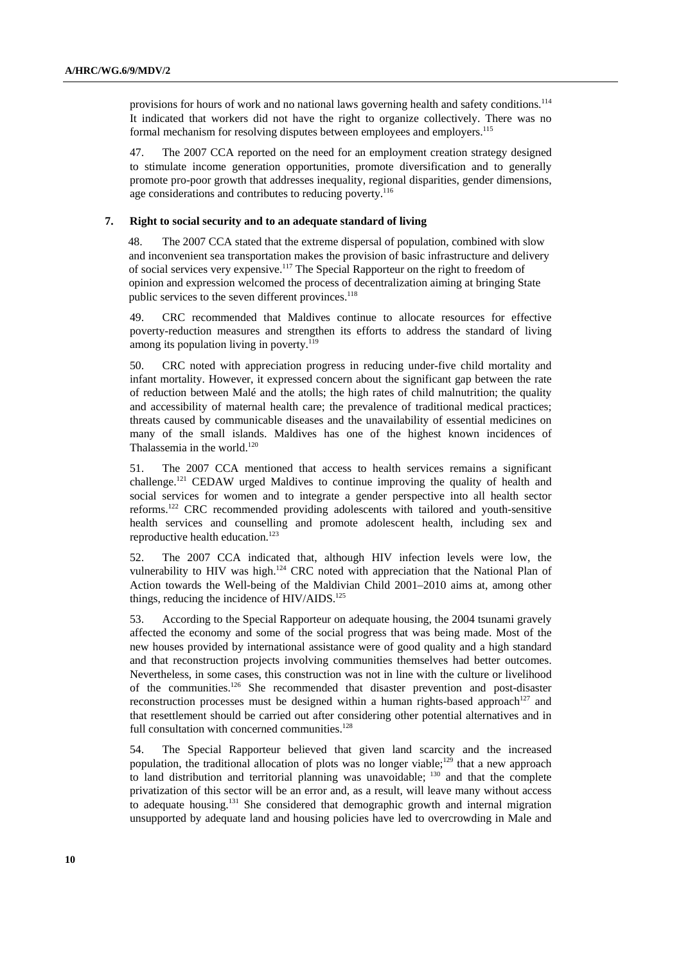provisions for hours of work and no national laws governing health and safety conditions.<sup>114</sup> It indicated that workers did not have the right to organize collectively. There was no formal mechanism for resolving disputes between employees and employers.<sup>115</sup>

47. The 2007 CCA reported on the need for an employment creation strategy designed to stimulate income generation opportunities, promote diversification and to generally promote pro-poor growth that addresses inequality, regional disparities, gender dimensions, age considerations and contributes to reducing poverty.<sup>116</sup>

#### **7. Right to social security and to an adequate standard of living**

48. The 2007 CCA stated that the extreme dispersal of population, combined with slow and inconvenient sea transportation makes the provision of basic infrastructure and delivery of social services very expensive.117 The Special Rapporteur on the right to freedom of opinion and expression welcomed the process of decentralization aiming at bringing State public services to the seven different provinces.<sup>118</sup>

49. CRC recommended that Maldives continue to allocate resources for effective poverty-reduction measures and strengthen its efforts to address the standard of living among its population living in poverty. $119$ 

50. CRC noted with appreciation progress in reducing under-five child mortality and infant mortality. However, it expressed concern about the significant gap between the rate of reduction between Malé and the atolls; the high rates of child malnutrition; the quality and accessibility of maternal health care; the prevalence of traditional medical practices; threats caused by communicable diseases and the unavailability of essential medicines on many of the small islands. Maldives has one of the highest known incidences of Thalassemia in the world.<sup>120</sup>

51. The 2007 CCA mentioned that access to health services remains a significant challenge.121 CEDAW urged Maldives to continue improving the quality of health and social services for women and to integrate a gender perspective into all health sector reforms.122 CRC recommended providing adolescents with tailored and youth-sensitive health services and counselling and promote adolescent health, including sex and reproductive health education.<sup>123</sup>

52. The 2007 CCA indicated that, although HIV infection levels were low, the vulnerability to HIV was high.<sup>124</sup> CRC noted with appreciation that the National Plan of Action towards the Well-being of the Maldivian Child 2001–2010 aims at, among other things, reducing the incidence of HIV/AIDS.<sup>125</sup>

53. According to the Special Rapporteur on adequate housing, the 2004 tsunami gravely affected the economy and some of the social progress that was being made. Most of the new houses provided by international assistance were of good quality and a high standard and that reconstruction projects involving communities themselves had better outcomes. Nevertheless, in some cases, this construction was not in line with the culture or livelihood of the communities.126 She recommended that disaster prevention and post-disaster reconstruction processes must be designed within a human rights-based approach<sup>127</sup> and that resettlement should be carried out after considering other potential alternatives and in full consultation with concerned communities.<sup>128</sup>

54. The Special Rapporteur believed that given land scarcity and the increased population, the traditional allocation of plots was no longer viable;<sup>129</sup> that a new approach to land distribution and territorial planning was unavoidable; <sup>130</sup> and that the complete privatization of this sector will be an error and, as a result, will leave many without access to adequate housing.131 She considered that demographic growth and internal migration unsupported by adequate land and housing policies have led to overcrowding in Male and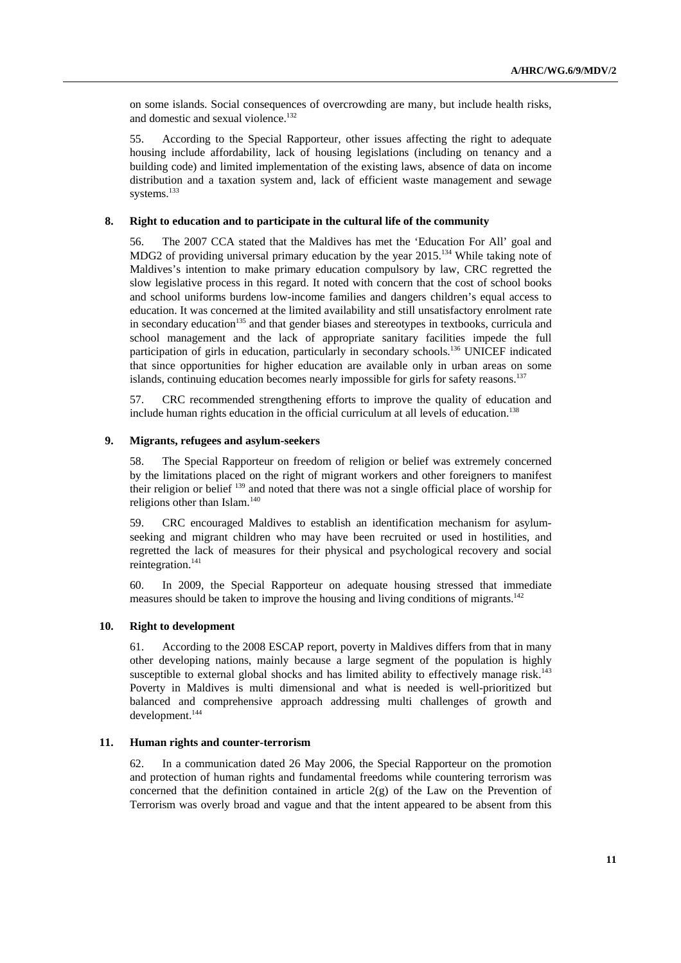on some islands. Social consequences of overcrowding are many, but include health risks, and domestic and sexual violence.<sup>132</sup>

55. According to the Special Rapporteur, other issues affecting the right to adequate housing include affordability, lack of housing legislations (including on tenancy and a building code) and limited implementation of the existing laws, absence of data on income distribution and a taxation system and, lack of efficient waste management and sewage systems.<sup>133</sup>

#### **8. Right to education and to participate in the cultural life of the community**

56. The 2007 CCA stated that the Maldives has met the 'Education For All' goal and MDG2 of providing universal primary education by the year  $2015$ .<sup>134</sup> While taking note of Maldives's intention to make primary education compulsory by law, CRC regretted the slow legislative process in this regard. It noted with concern that the cost of school books and school uniforms burdens low-income families and dangers children's equal access to education. It was concerned at the limited availability and still unsatisfactory enrolment rate in secondary education<sup>135</sup> and that gender biases and stereotypes in textbooks, curricula and school management and the lack of appropriate sanitary facilities impede the full participation of girls in education, particularly in secondary schools.<sup>136</sup> UNICEF indicated that since opportunities for higher education are available only in urban areas on some islands, continuing education becomes nearly impossible for girls for safety reasons.<sup>137</sup>

57. CRC recommended strengthening efforts to improve the quality of education and include human rights education in the official curriculum at all levels of education.<sup>138</sup>

#### **9. Migrants, refugees and asylum-seekers**

58. The Special Rapporteur on freedom of religion or belief was extremely concerned by the limitations placed on the right of migrant workers and other foreigners to manifest their religion or belief <sup>139</sup> and noted that there was not a single official place of worship for religions other than Islam.<sup>140</sup>

59. CRC encouraged Maldives to establish an identification mechanism for asylumseeking and migrant children who may have been recruited or used in hostilities, and regretted the lack of measures for their physical and psychological recovery and social reintegration.<sup>141</sup>

60. In 2009, the Special Rapporteur on adequate housing stressed that immediate measures should be taken to improve the housing and living conditions of migrants.<sup>142</sup>

#### **10. Right to development**

61. According to the 2008 ESCAP report, poverty in Maldives differs from that in many other developing nations, mainly because a large segment of the population is highly susceptible to external global shocks and has limited ability to effectively manage risk.<sup>143</sup> Poverty in Maldives is multi dimensional and what is needed is well-prioritized but balanced and comprehensive approach addressing multi challenges of growth and development.<sup>144</sup>

#### **11. Human rights and counter-terrorism**

62. In a communication dated 26 May 2006, the Special Rapporteur on the promotion and protection of human rights and fundamental freedoms while countering terrorism was concerned that the definition contained in article  $2(g)$  of the Law on the Prevention of Terrorism was overly broad and vague and that the intent appeared to be absent from this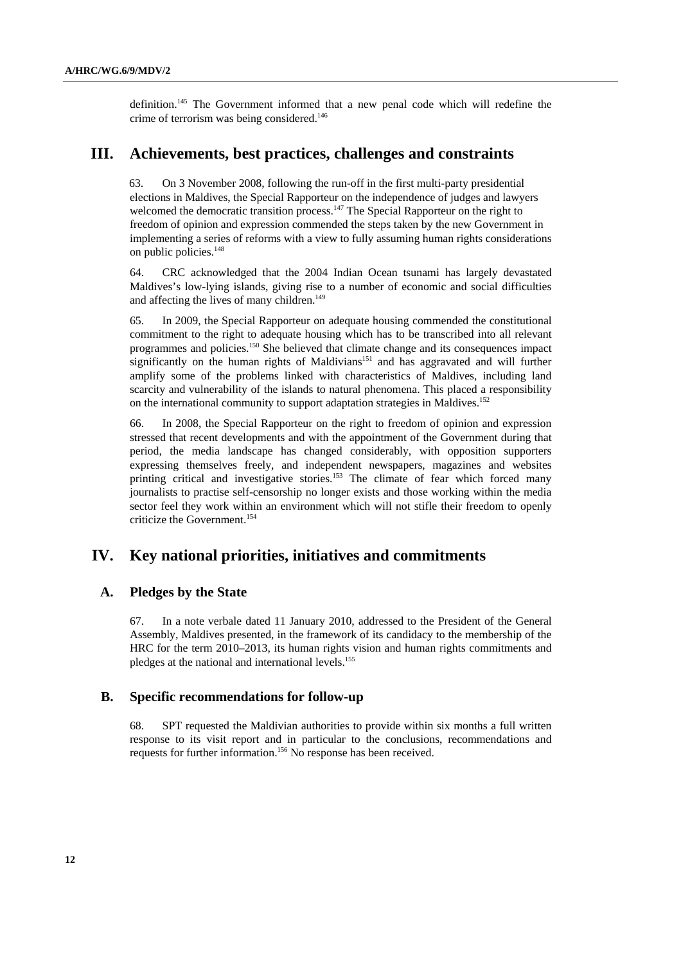definition.145 The Government informed that a new penal code which will redefine the crime of terrorism was being considered.<sup>146</sup>

# **III. Achievements, best practices, challenges and constraints**

63. On 3 November 2008, following the run-off in the first multi-party presidential elections in Maldives, the Special Rapporteur on the independence of judges and lawyers welcomed the democratic transition process.<sup>147</sup> The Special Rapporteur on the right to freedom of opinion and expression commended the steps taken by the new Government in implementing a series of reforms with a view to fully assuming human rights considerations on public policies.<sup>148</sup>

64. CRC acknowledged that the 2004 Indian Ocean tsunami has largely devastated Maldives's low-lying islands, giving rise to a number of economic and social difficulties and affecting the lives of many children.<sup>149</sup>

65. In 2009, the Special Rapporteur on adequate housing commended the constitutional commitment to the right to adequate housing which has to be transcribed into all relevant programmes and policies.150 She believed that climate change and its consequences impact significantly on the human rights of Maldivians<sup>151</sup> and has aggravated and will further amplify some of the problems linked with characteristics of Maldives, including land scarcity and vulnerability of the islands to natural phenomena. This placed a responsibility on the international community to support adaptation strategies in Maldives.<sup>152</sup>

66. In 2008, the Special Rapporteur on the right to freedom of opinion and expression stressed that recent developments and with the appointment of the Government during that period, the media landscape has changed considerably, with opposition supporters expressing themselves freely, and independent newspapers, magazines and websites printing critical and investigative stories.<sup>153</sup> The climate of fear which forced many journalists to practise self-censorship no longer exists and those working within the media sector feel they work within an environment which will not stifle their freedom to openly criticize the Government.<sup>154</sup>

# **IV. Key national priorities, initiatives and commitments**

### **A. Pledges by the State**

67. In a note verbale dated 11 January 2010, addressed to the President of the General Assembly, Maldives presented, in the framework of its candidacy to the membership of the HRC for the term 2010–2013, its human rights vision and human rights commitments and pledges at the national and international levels.155

### **B. Specific recommendations for follow-up**

68. SPT requested the Maldivian authorities to provide within six months a full written response to its visit report and in particular to the conclusions, recommendations and requests for further information.156 No response has been received.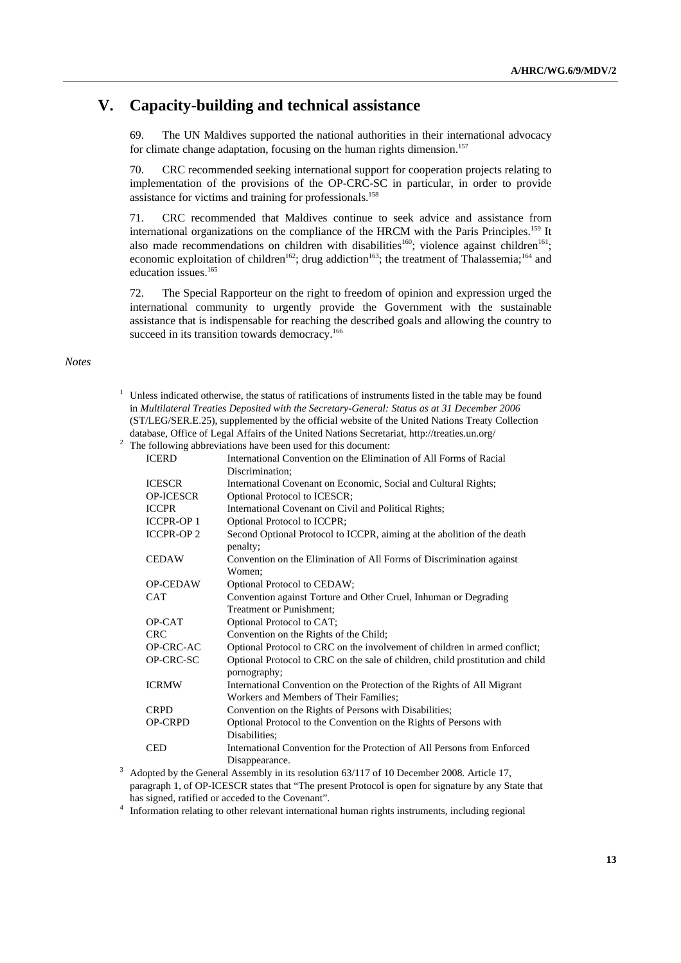# **V. Capacity-building and technical assistance**

69. The UN Maldives supported the national authorities in their international advocacy for climate change adaptation, focusing on the human rights dimension.<sup>157</sup>

70. CRC recommended seeking international support for cooperation projects relating to implementation of the provisions of the OP-CRC-SC in particular, in order to provide assistance for victims and training for professionals.<sup>158</sup>

71. CRC recommended that Maldives continue to seek advice and assistance from international organizations on the compliance of the HRCM with the Paris Principles.159 It also made recommendations on children with disabilities<sup>160</sup>; violence against children<sup>161</sup>; economic exploitation of children<sup>162</sup>; drug addiction<sup>163</sup>; the treatment of Thalassemia;<sup>164</sup> and education issues.<sup>165</sup>

72. The Special Rapporteur on the right to freedom of opinion and expression urged the international community to urgently provide the Government with the sustainable assistance that is indispensable for reaching the described goals and allowing the country to succeed in its transition towards democracy.<sup>166</sup>

#### *Notes*

 $1$  Unless indicated otherwise, the status of ratifications of instruments listed in the table may be found in *Multilateral Treaties Deposited with the Secretary-General: Status as at 31 December 2006* (ST/LEG/SER.E.25), supplemented by the official website of the United Nations Treaty Collection database, Office of Legal Affairs of the United Nations Secretariat, http://treaties.un.org/ 2

 $2\degree$  The following abbreviations have been used for this document:

| <b>ICERD</b>     | International Convention on the Elimination of All Forms of Racial                        |
|------------------|-------------------------------------------------------------------------------------------|
|                  | Discrimination;                                                                           |
| <b>ICESCR</b>    | International Covenant on Economic, Social and Cultural Rights;                           |
| <b>OP-ICESCR</b> | Optional Protocol to ICESCR;                                                              |
| <b>ICCPR</b>     | International Covenant on Civil and Political Rights;                                     |
| <b>ICCPR-OP1</b> | Optional Protocol to ICCPR;                                                               |
| <b>ICCPR-OP2</b> | Second Optional Protocol to ICCPR, aiming at the abolition of the death<br>penalty;       |
| <b>CEDAW</b>     | Convention on the Elimination of All Forms of Discrimination against                      |
|                  | Women:                                                                                    |
| <b>OP-CEDAW</b>  | Optional Protocol to CEDAW;                                                               |
| <b>CAT</b>       | Convention against Torture and Other Cruel, Inhuman or Degrading                          |
|                  | Treatment or Punishment;                                                                  |
| OP-CAT           | Optional Protocol to CAT;                                                                 |
| <b>CRC</b>       | Convention on the Rights of the Child;                                                    |
| OP-CRC-AC        | Optional Protocol to CRC on the involvement of children in armed conflict;                |
| OP-CRC-SC        | Optional Protocol to CRC on the sale of children, child prostitution and child            |
|                  | pornography;                                                                              |
| <b>ICRMW</b>     | International Convention on the Protection of the Rights of All Migrant                   |
|                  | Workers and Members of Their Families;                                                    |
| <b>CRPD</b>      | Convention on the Rights of Persons with Disabilities;                                    |
| <b>OP-CRPD</b>   | Optional Protocol to the Convention on the Rights of Persons with                         |
|                  | Disabilities:                                                                             |
| <b>CED</b>       | International Convention for the Protection of All Persons from Enforced                  |
|                  | Disappearance.                                                                            |
|                  | Adopted by the General Assembly in its resolution 63/117 of 10 December 2008. Article 17, |

paragraph 1, of OP-ICESCR states that "The present Protocol is open for signature by any State that has signed, ratified or acceded to the Covenant".<br>4 Information relating to other relevant international human rights instruments, including regional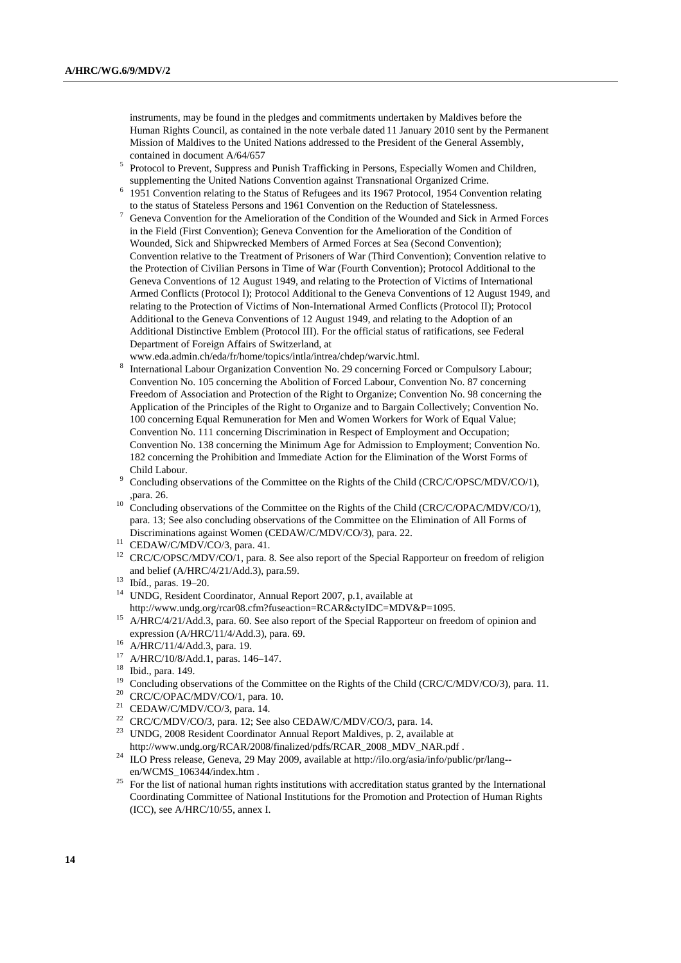instruments, may be found in the pledges and commitments undertaken by Maldives before the Human Rights Council, as contained in the note verbale dated 11 January 2010 sent by the Permanent Mission of Maldives to the United Nations addressed to the President of the General Assembly, contained in document  $A/64/657$ 

- <sup>5</sup> Protocol to Prevent, Suppress and Punish Trafficking in Persons, Especially Women and Children, supplementing the United Nations Convention against Transnational Organized Crime. 6
- <sup>6</sup> 1951 Convention relating to the Status of Refugees and its 1967 Protocol, 1954 Convention relating
- to the status of Stateless Persons and 1961 Convention on the Reduction of Statelessness. 7 Geneva Convention for the Amelioration of the Condition of the Wounded and Sick in Armed Forces in the Field (First Convention); Geneva Convention for the Amelioration of the Condition of Wounded, Sick and Shipwrecked Members of Armed Forces at Sea (Second Convention); Convention relative to the Treatment of Prisoners of War (Third Convention); Convention relative to the Protection of Civilian Persons in Time of War (Fourth Convention); Protocol Additional to the Geneva Conventions of 12 August 1949, and relating to the Protection of Victims of International Armed Conflicts (Protocol I); Protocol Additional to the Geneva Conventions of 12 August 1949, and relating to the Protection of Victims of Non-International Armed Conflicts (Protocol II); Protocol Additional to the Geneva Conventions of 12 August 1949, and relating to the Adoption of an Additional Distinctive Emblem (Protocol III). For the official status of ratifications, see Federal Department of Foreign Affairs of Switzerland, at

www.eda.admin.ch/eda/fr/home/topics/intla/intrea/chdep/warvic.html. 8

- International Labour Organization Convention No. 29 concerning Forced or Compulsory Labour; Convention No. 105 concerning the Abolition of Forced Labour, Convention No. 87 concerning Freedom of Association and Protection of the Right to Organize; Convention No. 98 concerning the Application of the Principles of the Right to Organize and to Bargain Collectively; Convention No. 100 concerning Equal Remuneration for Men and Women Workers for Work of Equal Value; Convention No. 111 concerning Discrimination in Respect of Employment and Occupation; Convention No. 138 concerning the Minimum Age for Admission to Employment; Convention No. 182 concerning the Prohibition and Immediate Action for the Elimination of the Worst Forms of Child Labour.
- Concluding observations of the Committee on the Rights of the Child (CRC/C/OPSC/MDV/CO/1),
- <sup>10</sup> Concluding observations of the Committee on the Rights of the Child (CRC/C/OPAC/MDV/CO/1), para. 13; See also concluding observations of the Committee on the Elimination of All Forms of Discriminations against Women (CEDAW/C/MDV/CO/3), para. 22. 11 CEDAW/C/MDV/CO/3, para. 41.
- 
- <sup>12</sup> CRC/C/OPSC/MDV/CO/1, para. 8. See also report of the Special Rapporteur on freedom of religion and belief (A/HRC/4/21/Add.3), para.59. 13 Ibíd., paras. 19–20.
- 
- <sup>14</sup> UNDG, Resident Coordinator, Annual Report 2007, p.1, available at
- http://www.undg.org/rcar08.cfm?fuseaction=RCAR&ctyIDC=MDV&P=1095. 15 A/HRC/4/21/Add.3, para. 60. See also report of the Special Rapporteur on freedom of opinion and expression (A/HRC/11/4/Add.3), para. 69.<br><sup>16</sup> A/HRC/11/4/Add.3, para. 19.
- 
- 17 A/HRC/10/8/Add.1, paras. 146–147.
- $18$  Ibid., para. 149.
- <sup>19</sup> Concluding observations of the Committee on the Rights of the Child (CRC/C/MDV/CO/3), para. 11.<br><sup>20</sup> CRC/C/OPAC/MDV/CO/1, para. 10.<br><sup>21</sup> CEDAW/C/MDV/CO<sup>/2</sup>, para. 14.
- 
- 
- <sup>21</sup> CEDAW/C/MDV/CO/3, para. 14.<br><sup>22</sup> CRC/C/MDV/CO/3, para. 12; See also CEDAW/C/MDV/CO/3, para. 14.
- <sup>23</sup> UNDG, 2008 Resident Coordinator Annual Report Maldives, p. 2, available at
- http://www.undg.org/RCAR/2008/finalized/pdfs/RCAR\_2008\_MDV\_NAR.pdf . 24 ILO Press release, Geneva, 29 May 2009, available at http://ilo.org/asia/info/public/pr/lang- en/WCMS\_106344/index.htm .<br><sup>25</sup> For the list of national human rights institutions with accreditation status granted by the International
- Coordinating Committee of National Institutions for the Promotion and Protection of Human Rights (ICC), see A/HRC/10/55, annex I.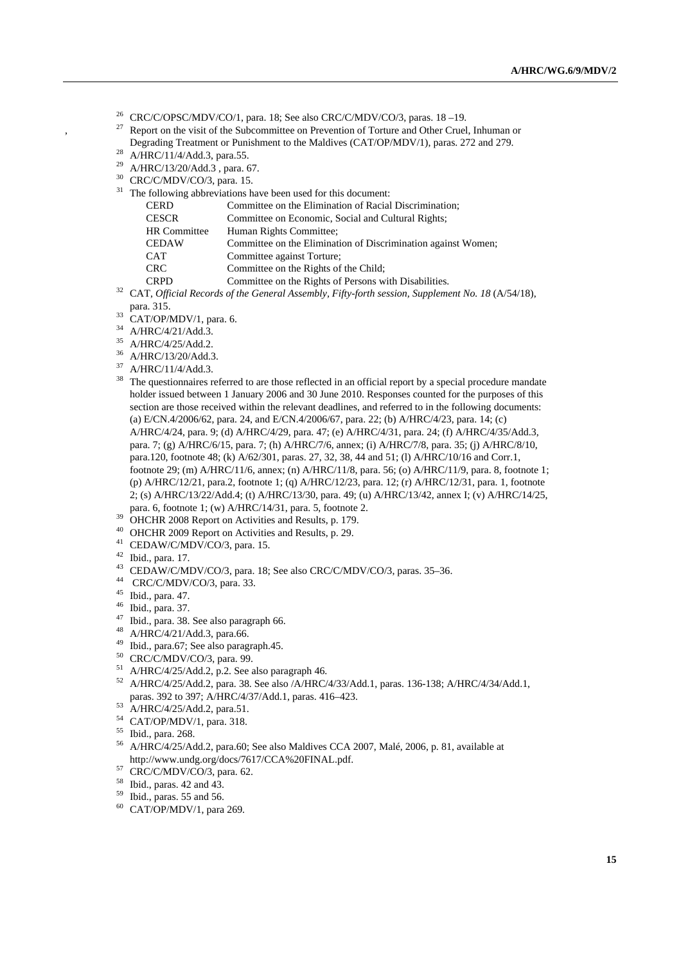- 26 CRC/C/OPSC/MDV/CO/1, para. 18; See also CRC/C/MDV/CO/3, paras. 18 –19.
- <sup>27</sup> Report on the visit of the Subcommittee on Prevention of Torture and Other Cruel, Inhuman or

 $\overline{3}$  The following abbreviations have been used for this document:

- Degrading Treatment or Punishment to the Maldives (CAT/OP/MDV/1), paras. 272 and 279. 28 A/HRC/11/4/Add.3, para.55.
	-
	- 29 A/HRC/13/20/Add.3 , para. 67.
- $^{30}$  CRC/C/MDV/CO/3, para. 15.

| The following aboreviations have been used for this document.                          |                                                               |  |  |
|----------------------------------------------------------------------------------------|---------------------------------------------------------------|--|--|
| <b>CERD</b>                                                                            | Committee on the Elimination of Racial Discrimination;        |  |  |
| <b>CESCR</b>                                                                           | Committee on Economic, Social and Cultural Rights;            |  |  |
| <b>HR</b> Committee                                                                    | Human Rights Committee;                                       |  |  |
| <b>CEDAW</b>                                                                           | Committee on the Elimination of Discrimination against Women; |  |  |
| <b>CAT</b>                                                                             | Committee against Torture;                                    |  |  |
| <b>CRC</b>                                                                             | Committee on the Rights of the Child;                         |  |  |
| <b>CRPD</b>                                                                            | Committee on the Rights of Persons with Disabilities.         |  |  |
| CAT Official Records of the Ceneral Assembly, Fifty forth session, Sympanion No. 18(A) |                                                               |  |  |

<sup>32</sup> CAT, *Official Records of the General Assembly, Fifty-forth session, Supplement No. 18* (A/54/18), para. 315.<br>33 CAT/OP/MDV/1, para. 6.

- 
- 34 A/HRC/4/21/Add.3.
- 35 A/HRC/4/25/Add.2.
- 36 A/HRC/13/20/Add.3.
- $37$  A/HRC/11/4/Add.3.
- <sup>38</sup> The questionnaires referred to are those reflected in an official report by a special procedure mandate holder issued between 1 January 2006 and 30 June 2010. Responses counted for the purposes of this section are those received within the relevant deadlines, and referred to in the following documents: (a) E/CN.4/2006/62, para. 24, and E/CN.4/2006/67, para. 22; (b) A/HRC/4/23, para. 14; (c) A/HRC/4/24, para. 9; (d) A/HRC/4/29, para. 47; (e) A/HRC/4/31, para. 24; (f) A/HRC/4/35/Add.3, para. 7; (g) A/HRC/6/15, para. 7; (h) A/HRC/7/6, annex; (i) A/HRC/7/8, para. 35; (j) A/HRC/8/10, para.120, footnote 48; (k) A/62/301, paras. 27, 32, 38, 44 and 51; (l) A/HRC/10/16 and Corr.1, footnote 29; (m) A/HRC/11/6, annex; (n) A/HRC/11/8, para. 56; (o) A/HRC/11/9, para. 8, footnote 1; (p) A/HRC/12/21, para.2, footnote 1; (q) A/HRC/12/23, para. 12; (r) A/HRC/12/31, para. 1, footnote 2; (s) A/HRC/13/22/Add.4; (t) A/HRC/13/30, para. 49; (u) A/HRC/13/42, annex I; (v) A/HRC/14/25, para. 6, footnote 1; (w) A/HRC/14/31, para. 5, footnote 2. 39 OHCHR 2008 Report on Activities and Results, p. 179.
- 
- 40 OHCHR 2009 Report on Activities and Results, p. 29.
- 41 CEDAW/C/MDV/CO/3, para. 15.
- 42 Ibid., para. 17.
- <sup>43</sup> CEDAW/C/MDV/CO/3, para. 18; See also CRC/C/MDV/CO/3, paras. 35–36.<br><sup>44</sup> CRC/C/MDV/CO/3, para. 33.
- 
- 45 Ibid., para. 47.
- 46 Ibid., para. 37.
- 47 Ibid., para. 38. See also paragraph 66.
- 48 A/HRC/4/21/Add.3, para.66.
- 49 Ibid., para.67; See also paragraph.45.
- 
- $^{50}$  CRC/C/MDV/CO/3, para. 99.<br> $^{51}$  A/HRC/4/25/Add.2, p.2. See also paragraph 46.
- $^{52}$  A/HRC/4/25/Add.2, para. 38. See also /A/HRC/4/33/Add.1, paras. 136-138; A/HRC/4/34/Add.1, paras. 392 to 397; A/HRC/4/37/Add.1, paras. 416–423.<br><sup>53</sup> A/HRC/4/25/Add.2, para.51.
- 
- 54 CAT/OP/MDV/1, para. 318.
- $^{55}$  Ibid., para. 268.
- 56 A/HRC/4/25/Add.2, para.60; See also Maldives CCA 2007, Malé, 2006, p. 81, available at http://www.undg.org/docs/7617/CCA%20FINAL.pdf.<br>
<sup>57</sup> CRC/C/MDV/CO/3, para. 62.
- 
- 58 Ibid., paras. 42 and 43.
- 59 Ibid., paras. 55 and 56.
- 60 CAT/OP/MDV/1, para 269.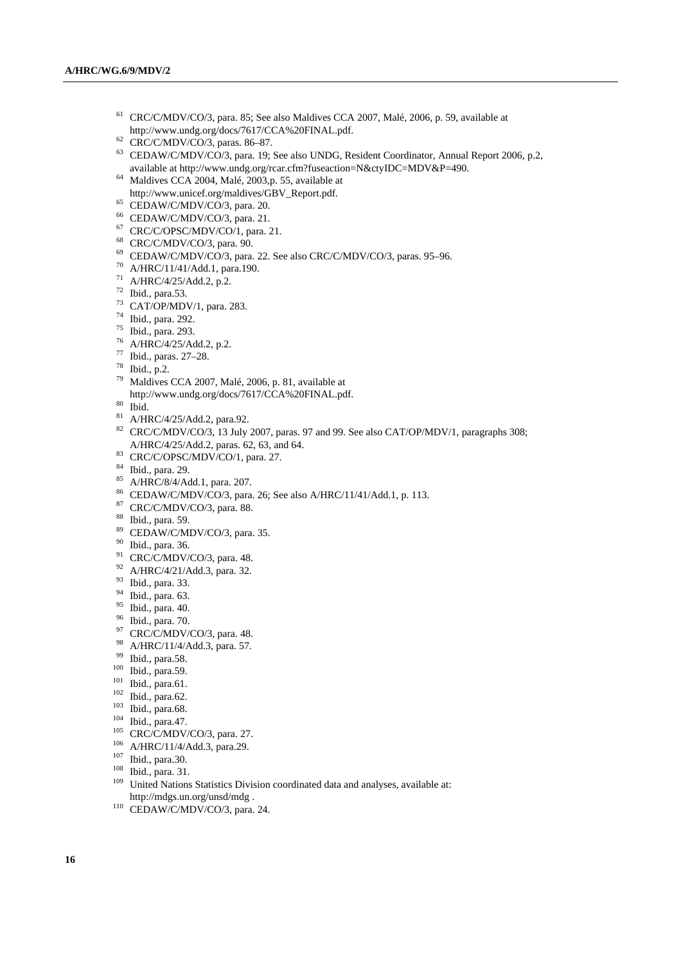- 61 CRC/C/MDV/CO/3, para. 85; See also Maldives CCA 2007, Malé, 2006, p. 59, available at http://www.undg.org/docs/7617/CCA%20FINAL.pdf.  $^{62}$  CRC/C/MDV/CO/3, paras. 86–87.
- 
- 63 CEDAW/C/MDV/CO/3, para. 19; See also UNDG, Resident Coordinator, Annual Report 2006, p.2, available at http://www.undg.org/rcar.cfm?fuseaction=N&ctyIDC=MDV&P=490. 64 Maldives CCA 2004, Malé, 2003,p. 55, available at
- http://www.unicef.org/maldives/GBV\_Report.pdf. CEDAW/C/MDV/CO/3, para. 20.
- 
- 66 CEDAW/C/MDV/CO/3, para. 21.
- 67 CRC/C/OPSC/MDV/CO/1, para. 21.
- 68 CRC/C/MDV/CO/3, para. 90.
- <sup>69</sup> CEDAW/C/MDV/CO/3, para. 22. See also CRC/C/MDV/CO/3, paras. 95–96.<br><sup>70</sup> A/HRC/11/41/Add.1, para.190.
- 
- 71 A/HRC/4/25/Add.2, p.2.
- $72$  Ibid., para.53.
- 73 CAT/OP/MDV/1, para. 283.
- 74 Ibid., para. 292.
- 75 Ibid., para. 293.
- 76 A/HRC/4/25/Add.2, p.2.
- 77 Ibid., paras. 27–28.
- 78 Ibid., p.2.
- 79 Maldives CCA 2007, Malé, 2006, p. 81, available at http://www.undg.org/docs/7617/CCA%20FINAL.pdf. 80 Ibid.
- 
- 81 A/HRC/4/25/Add.2, para.92.
- <sup>82</sup> CRC/C/MDV/CO/3, 13 July 2007, paras. 97 and 99. See also CAT/OP/MDV/1, paragraphs 308; A/HRC/4/25/Add.2, paras. 62, 63, and 64.<br><sup>83</sup> CRC/C/OPSC/MDV/CO/1, para. 27.
- 
- 84 Ibid., para. 29.
- 85 A/HRC/8/4/Add.1, para. 207.
- <sup>86</sup> CEDAW/C/MDV/CO/3, para. 26; See also A/HRC/11/41/Add.1, p. 113.<br><sup>87</sup> CRC/C/MDV/CO/3, para. 88.
- 
- 88 Ibid., para. 59.
- 89 CEDAW/C/MDV/CO/3, para. 35.
- 90 Ibid., para. 36.
- 91 CRC/C/MDV/CO/3, para. 48.
- 92 A/HRC/4/21/Add.3, para. 32.
- 93 Ibid., para. 33.
- 94 Ibid., para. 63.
- 95 Ibid., para. 40.
- 96 Ibid., para. 70.
- 97 CRC/C/MDV/CO/3, para. 48.
- <sup>98</sup> A/HRC/11/4/Add.3, para. 57.<br><sup>99</sup> Ibid., para.58.
- 
- 
- 
- 
- 
- 
- 
- 
- 
- 
- 
- <sup>99</sup> Ibid., para.58.<br>
<sup>100</sup> Ibid., para.61.<br>
<sup>101</sup> Ibid., para.61.<br>
<sup>102</sup> Ibid., para.62.<br>
<sup>103</sup> Ibid., para.47.<br>
<sup>105</sup> CRC/C/MDV/CO/3, para. 27.<br>
<sup>106</sup> A/HRC/11/4/Add.3, para.29.<br>
<sup>107</sup> Ibid., para.30.<br>
<sup>107</sup> Ibid., para http://mdgs.un.org/unsd/mdg . 110 CEDAW/C/MDV/CO/3, para. 24.
-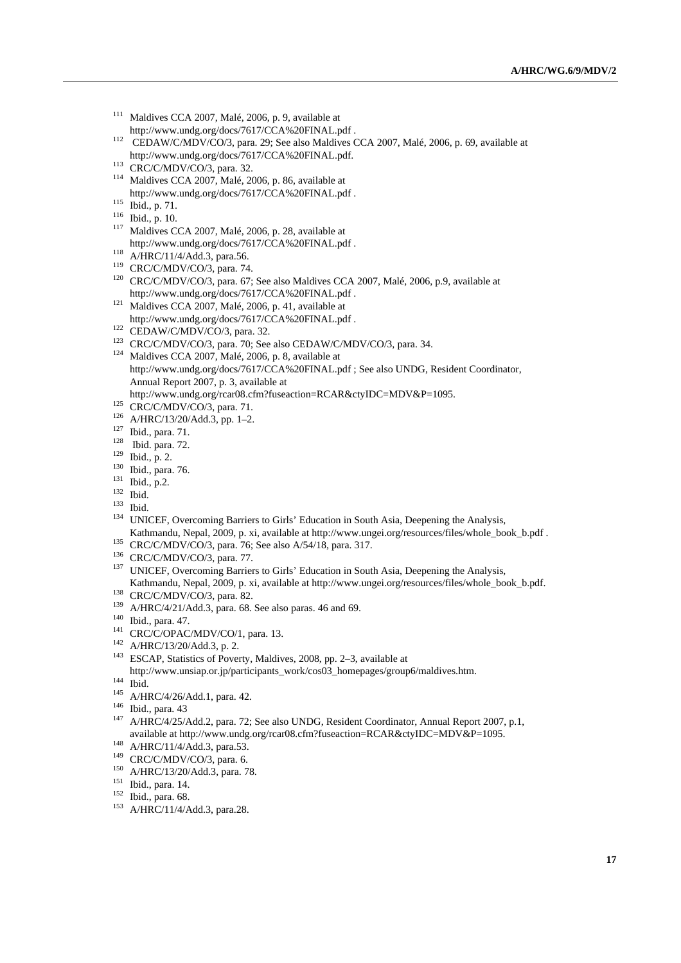- 111 Maldives CCA 2007, Malé, 2006, p. 9, available at
- http://www.undg.org/docs/7617/CCA%20FINAL.pdf .<br>
<sup>112</sup> CEDAW/C/MDV/CO/3, para. 29; See also Maldives CCA 2007, Malé, 2006, p. 69, available at
- 
- http://www.undg.org/docs/7617/CCA%20FINAL.pdf. 113 CRC/C/MDV/CO/3, para. 32. 114 Maldives CCA 2007, Malé, 2006, p. 86, available at
- 
- 
- http://www.undg.org/docs/7617/CCA%20FINAL.pdf .<br>
<sup>115</sup> Ibid., p. 71.<br>
<sup>116</sup> Ibid., p. 10.<br>
<sup>117</sup> Maldives CCA 2007, Malé, 2006, p. 28, available at
- 
- 
- http://www.undg.org/docs/7617/CCA%20FINAL.pdf .<br>
118 A/HRC/11/4/Add.3, para.56.<br>
119 CRC/C/MDV/CO/3, para. 67; See also Maldives CCA 2007, Malé, 2006, p.9, available at<br>
120 CRC/C/MDV/CO/3, para. 67; See also Maldives CCA
- http://www.undg.org/docs/7617/CCA%20FINAL.pdf . 121 Maldives CCA 2007, Malé, 2006, p. 41, available at
- 
- http://www.undg.org/docs/7617/CCA%20FINAL.pdf .<br>
<sup>122</sup> CEDAW/C/MDV/CO/3, para. 32.<br>
<sup>123</sup> CRC/C/MDV/CO/3, para. 70; See also CEDAW/C/MDV/CO/3, para. 34.<br>
<sup>124</sup> Maldives CCA 2007, Malé, 2006, p. 8, available at
- http://www.undg.org/docs/7617/CCA%20FINAL.pdf ; See also UNDG, Resident Coordinator, Annual Report 2007, p. 3, available at
- 
- 
- 
- 
- 
- 
- 
- 
- 
- 
- http://www.undg.org/rcar08.cfm?fuseaction=RCAR&ctyIDC=MDV&P=1095.<br>
<sup>125</sup> CRC/C/MDV/CO/3, para. 71.<br>
<sup>126</sup> A/HRC/13/20/Add.3, pp. 1–2.<br>
<sup>127</sup> Ibid., para. 71.<br>
<sup>128</sup> Ibid., para. 72.<br>
<sup>129</sup> Ibid., p. 2.<br>
<sup>130</sup> Ibid., p. 2.<br>
- 
- 
- Kathmandu, Nepal, 2009, p. xi, available at http://www.ungei.org/resources/files/whole\_book\_b.pdf .<br>
CRC/C/MDV/CO/3, para. 76; See also A/54/18, para. 317.<br>
<sup>136</sup> CRC/C/MDV/CO/3, para. 77.<br>
<sup>137</sup> UNICEF, Overcoming Barrier
- 
- 
- 
- 
- 
- Kathmandu, Nepal, 2009, p. xi, available at http://www.ungei.org/resources/files/whole\_book\_b.pdf.<br>
<sup>138</sup> CRC/C/MDV/CO/3, para. 82.<br>
<sup>139</sup> A/HRC/4/21/Add.3, para. 68. See also paras. 46 and 69.<br>
<sup>140</sup> Ibid., para. 47.<br>
<sup>14</sup>

- 
- 
- 
- http://www.unsiap.or.jp/participants\_work/cos03\_homepages/group6/maldives.htm.<br>
<sup>144</sup> Ibid.<br>
A/HRC/4/26/Add.1, para. 42.<br>
<sup>145</sup> A/HRC/4/25/Add.2, para. 72; See also UNDG, Resident Coordinator, Annual Report 2007, p.1,<br>
<sup>14</sup> available at http://www.undg.org/rcar08.cfm?fuseaction=RCAR&ctyIDC=MDV&P=1095.<br>
<sup>148</sup> A/HRC/11/4/Add.3, para.53.<br>
<sup>149</sup> CRC/C/MDV/CO/3, para. 6.<br>
<sup>150</sup> A/HRC/13/20/Add.3, para. 78.<br>
<sup>151</sup> Ibid., para. 14.<br>
<sup>151</sup> Ibid., pa
- 
- 
- 
- 
- 
-